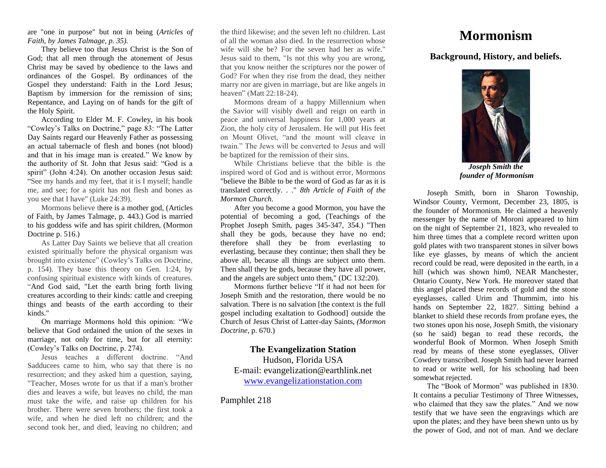are "one in purpose" but not in being (*Articles of Faith, by James Talmage, p. 35).*

They believe too that Jesus Christ is the Son of God; that all men through the atonement of Jesus Christ may be saved by obedience to the laws and ordinances of the Gospel. By ordinances of the Gospel they understand: Faith in the Lord Jesus; Baptism by immersion for the remission of sins; Repentance, and Laying on of hands for the gift of the Holy Spirit.

According to Elder M. F. Cowley, in his book "Cowley's Talks on Doctrine," page 83: "The Latter Day Saints regard our Heavenly Father as possessing an actual tabernacle of flesh and bones (not blood) and that in his image man is created." We know by the authority of St. John that Jesus said: "God is a spirit" (John 4:24). On another occasion Jesus said: "See my hands and my feet, that it is I myself; handle me, and see; for a spirit has not flesh and bones as you see that I have" (Luke 24:39).

Mormons believe there is a mother god, (Articles of Faith, by James Talmage, p. 443.) God is married to his goddess wife and has spirit children, (Mormon Doctrine p. 516.)

As Latter Day Saints we believe that all creation existed spiritually before the physical organism was brought into existence" (Cowley's Talks on Doctrine, p. 154). They base this theory on Gen. 1:24, by confusing spiritual existence with kinds of creatures. "And God said, "Let the earth bring forth living creatures according to their kinds: cattle and creeping things and beasts of the earth according to their kinds."

On marriage Mormons hold this opinion: "We believe that God ordained the union of the sexes in marriage, not only for time, but for all eternity: (Cowley's Talks on Doctrine, p. 274).

Jesus teaches a different doctrine. "And Sadducees came to him, who say that there is no resurrection; and they asked him a question, saying, "Teacher, Moses wrote for us that if a man's brother dies and leaves a wife, but leaves no child, the man must take the wife, and raise up children for his brother. There were seven brothers; the first took a wife, and when he died left no children; and the second took her, and died, leaving no children; and

the third likewise; and the seven left no children. Last of all the woman also died. In the resurrection whose wife will she be? For the seven had her as wife." Jesus said to them, "Is not this why you are wrong, that you know neither the scriptures nor the power of God? For when they rise from the dead, they neither marry nor are given in marriage, but are like angels in heaven" (Matt 22:18-24).

Mormons dream of a happy Millennium when the Savior will visibly dwell and reign on earth in peace and universal happiness for 1,000 years at Zion, the holy city of Jerusalem. He will put His feet on Mount Olivet, "and the mount will cleave in twain." The Jews will be converted to Jesus and will be baptized for the remission of their sins.

While Christians believe that the bible is the inspired word of God and is without error, Mormons "believe the Bible to be the word of God as far as it is translated correctly. . ." *8th Article of Faith of the Mormon Church.*

After you become a good Mormon, you have the potential of becoming a god, (Teachings of the Prophet Joseph Smith, pages 345-347, 354.) "Then shall they be gods, because they have no end; therefore shall they be from everlasting to everlasting, because they continue; then shall they be above all, because all things are subject unto them. Then shall they be gods, because they have all power, and the angels are subject unto them," (DC 132:20).

Mormons further believe "If it had not been for Joseph Smith and the restoration, there would be no salvation. There is no salvation [the context is the full gospel including exaltation to Godhood] outside the Church of Jesus Christ of Latter-day Saints, *(Mormon Doctrine*, p. 670.)

## **The Evangelization Station**

Hudson, Florida USA E-mail: evangelization@earthlink.net [www.evangelizationstation.com](http://www.pjpiisoe.org/)

Pamphlet 218

## **Mormonism**

## **Background, History, and beliefs.**



*Joseph Smith the founder of Mormonism*

Joseph Smith, born in Sharon Township, Windsor County, Vermont, December 23, 1805, is the founder of Mormonism. He claimed a heavenly messenger by the name of Moroni appeared to him on the night of September 21, 1823, who revealed to him three times that a complete record written upon gold plates with two transparent stones in silver bows like eye glasses, by means of which the ancient record could be read, were deposited in the earth, in a hill (which was shown him0, NEAR Manchester, Ontario County, New York. He moreover stated that this angel placed these records of gold and the stone eyeglasses, called Urim and Thummim, into his hands on September 22, 1827. Sitting behind a blanket to shield these records from profane eyes, the two stones upon his nose, Joseph Smith, the visionary (so he said) began to read these records, the wonderful Book of Mormon. When Joseph Smith read by means of these stone eyeglasses, Oliver Cowdery transcribed. Joseph Smith had never learned to read or write well, for his schooling had been somewhat rejected.

The "Book of Mormon" was published in 1830. It contains a peculiar Testimony of Three Witnesses, who claimed that they saw the plates." And we now testify that we have seen the engravings which are upon the plates; and they have been shewn unto us by the power of God, and not of man. And we declare